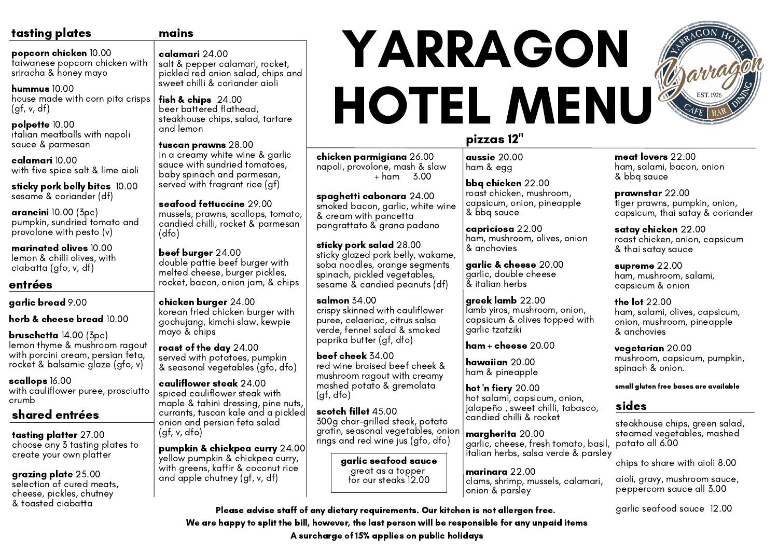### tasting plates

popcorn chicken 10.00 taiwanese popcorn chicken with

hummus 10.00 house made with corn pita crisps  $(gf, v, df)$ 

sriracha & honey mayo

polpette 10.00 italian meatballs with napoli sauce & parmesan

calamari 10.00 with five spice salt & lime aioli

sticky pork belly bites 10.00 sesame & coriander (df)

arancini 10.00 (3pc) pumpkin, sundried tomato and provolone with pesto (v)

marinated olives 10.00 lemon & chilli olives, with ciabatta (gfo, v, df)

#### entrées

garlic bread 9.00

herb & cheese bread  $10.00$ 

bruschetta 14.00 (3pc) lemon thyme & mushroom ragout with porcini cream, persian feta, rocket & balsamic glaze (gfo, v)

> hot 'n fiery 20.00 hot salami, capsicum, onion, jalapeño , sweet chilli, tabasco, candied chilli & rocket

scallops 16.00 with cauliflower puree, prosciutto crumb

# pizzas 12"

aussie 20.00 ham & egg

bbq chicken 22.00 roast chicken, mushroom, capsicum, onion, pineapple & bbq sauce

capriciosa 22.00 ham, mushroom, olives, onion & anchovies

garlic & cheese 20.00 garlic, double cheese & italian herbs

greek lamb 22.00 lamb yiros, mushroom, onion, capsicum & olives topped with garlic tzatziki

ham + cheese 20.00

hawaiian 20.00 ham & pineapple

fish & chips  $24.00$ beer battered flathead, steakhouse chips, salad, tartare and lemon

> margherita 20.00 garlic, cheese, fresh tomato, basil, italian herbs, salsa verde & parsley

#### sides

steakhouse chips, green salad, steamed vegetables, mashed potato all 6.00

marinara 22.00 clams, shrimp, mussels, calamari, onion & parsley aioli, gravy, mushroom sauce, peppercorn sauce all 3.00

chips to share with aioli 8.00

garlic seafood sauce 12.00

chicken parmigiana 26.00 napoli, provolone, mash & slaw + ham 3.00

spaghetti cabonara 24.00 smoked bacon, garlic, white wine & cream with pancetta pangrattato & grana padano

sticky pork salad 28.00 sticky glazed pork belly, wakame, soba noodles, orange segments spinach, pickled vegetables, sesame & candied peanuts (df)

salmon 34.00 crispy skinned with cauliflower puree, celaeriac, citrus salsa verde, fennel salad & smoked paprika butter (gf, dfo)

supreme 22.00 ham, mushroom, salami, capsicum & onion

beef cheek 34.00 red wine braised beef cheek & mushroom ragout with creamy mashed potato & gremolata (gf, dfo)

scotch fillet 45.00 300g char-grilled steak, potato gratin, seasonal vegetables, onion rings and red wine jus (gfo, dfo)

#### mains

calamari 24.00 salt & pepper calamari, rocket, pickled red onion salad, chips and sweet chilli & coriander aioli

tuscan prawns 28.00 in a creamy white wine & garlic sauce with sundried tomatoes, baby spinach and parmesan, served with fragrant rice (gf)

seafood fettuccine 29.00 mussels, prawns, scallops, tomato, candied chilli, rocket & parmesan (dfo)

beef burger 24.00 double pattie beef burger with melted cheese, burger pickles, rocket, bacon, onion jam, & chips

chicken burger 24.00 korean fried chicken burger with gochujang, kimchi slaw, kewpie mayo & chips

roast of the day 24.00 served with potatoes, pumpkin & seasonal vegetables (gfo, dfo)

cauliflower steak 24.00 spiced cauliflower steak with maple & tahini dressing, pine nuts, currants, tuscan kale and a pickled onion and persian feta salad (gf, v, dfo)

pumpkin & chickpea curry 24.00 yellow pumpkin & chickpea curry, with greens, kaffir & coconut rice and apple chutney (gf, v, df)

garlic seafood sauce great as a topper for our steaks 12.00

Please advise staff of any dietary requirements. Our kitchen is not allergen free. We are happy to split the bill, however, the last person will be responsible for any unpaid items A surcharge of 15% applies on public holidays



## shared entrées

tasting platter 27.00 choose any 3 tasting plates to create your own platter

grazing plate 25.00 selection of cured meats, cheese, pickles, chutney & toasted ciabatta

# YARRAGON HOTEL MENU

meat lovers 22.00 ham, salami, bacon, onion & bbq sauce

prawnstar 22.00 tiger prawns, pumpkin, onion, capsicum, thai satay & coriander

satay chicken 22.00 roast chicken, onion, capsicum & thai satay sauce

the lot 22.00 ham, salami, olives, capsicum, onion, mushroom, pineapple & anchovies

vegetarian 20.00 mushroom, capsicum, pumpkin, spinach & onion.

small gluten free bases are available